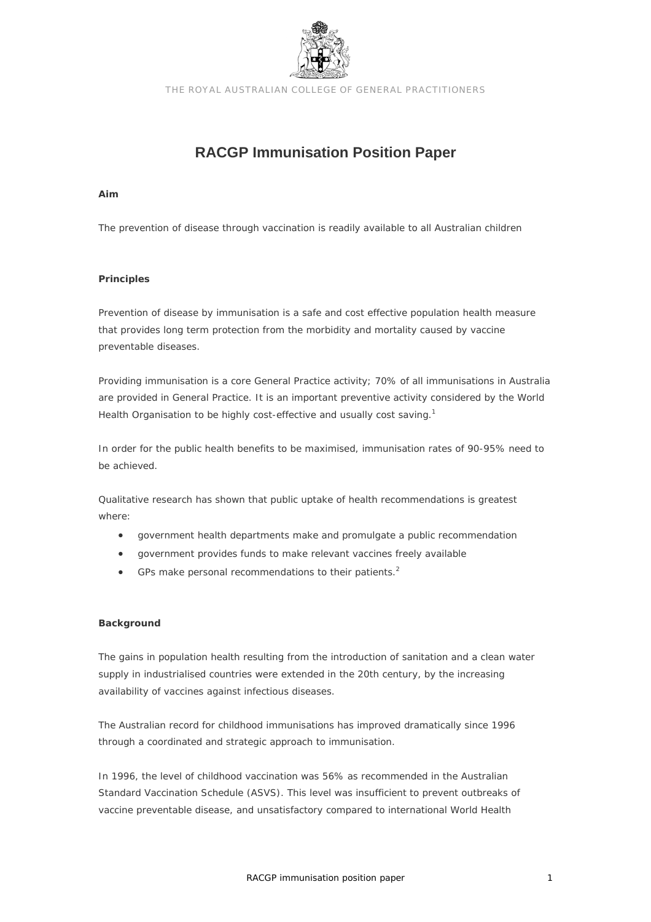

THE ROYAL AUSTRALIAN COLLEGE OF GENERAL PRACTITIONERS

# **RACGP Immunisation Position Paper**

#### **Aim**

The prevention of disease through vaccination is readily available to all Australian children

## **Principles**

Prevention of disease by immunisation is a safe and cost effective population health measure that provides long term protection from the morbidity and mortality caused by vaccine preventable diseases.

Providing immunisation is a core General Practice activity; 70% of all immunisations in Australia are provided in General Practice. It is an important preventive activity considered by the World Health Organisation to be highly cost-effective and usually cost saving.<sup>1</sup>

In order for the public health benefits to be maximised, immunisation rates of 90-95% need to be achieved.

Qualitative research has shown that public uptake of health recommendations is greatest where:

- government health departments make and promulgate a public recommendation
- government provides funds to make relevant vaccines freely available
- GPs make personal recommendations to their patients.<sup>2</sup>

# **Background**

The gains in population health resulting from the introduction of sanitation and a clean water supply in industrialised countries were extended in the 20th century, by the increasing availability of vaccines against infectious diseases.

The Australian record for childhood immunisations has improved dramatically since 1996 through a coordinated and strategic approach to immunisation.

In 1996, the level of childhood vaccination was 56% as recommended in the Australian Standard Vaccination Schedule (ASVS). This level was insufficient to prevent outbreaks of vaccine preventable disease, and unsatisfactory compared to international World Health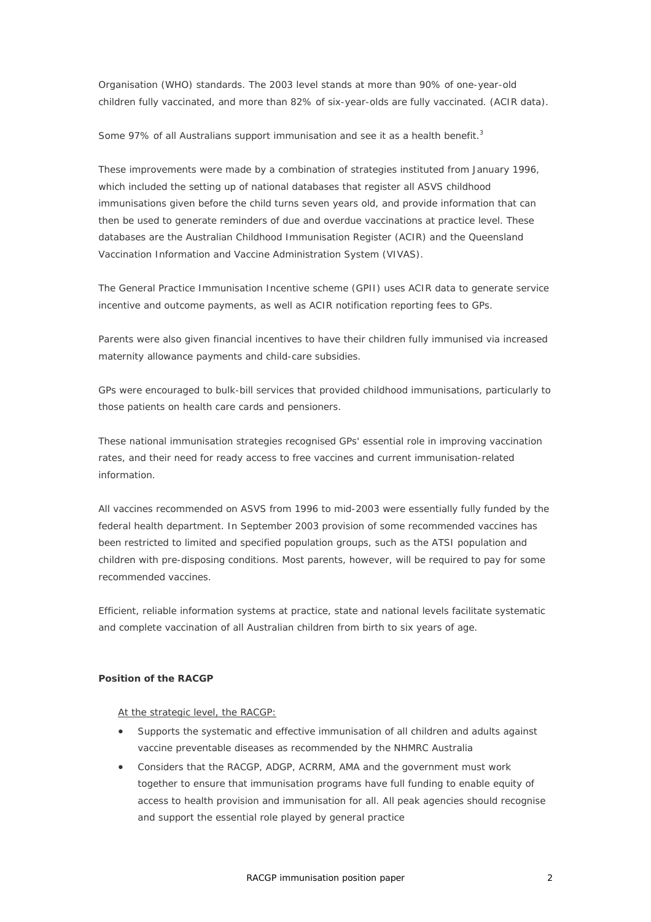Organisation (WHO) standards. The 2003 level stands at more than 90% of one-year-old children fully vaccinated, and more than 82% of six-year-olds are fully vaccinated. (ACIR data).

Some 97% of all Australians support immunisation and see it as a health benefit.<sup>3</sup>

These improvements were made by a combination of strategies instituted from January 1996, which included the setting up of national databases that register all ASVS childhood immunisations given before the child turns seven years old, and provide information that can then be used to generate reminders of due and overdue vaccinations at practice level. These databases are the Australian Childhood Immunisation Register (ACIR) and the Queensland Vaccination Information and Vaccine Administration System (VIVAS).

The General Practice Immunisation Incentive scheme (GPII) uses ACIR data to generate service incentive and outcome payments, as well as ACIR notification reporting fees to GPs.

Parents were also given financial incentives to have their children fully immunised via increased maternity allowance payments and child-care subsidies.

GPs were encouraged to bulk-bill services that provided childhood immunisations, particularly to those patients on health care cards and pensioners.

These national immunisation strategies recognised GPs' essential role in improving vaccination rates, and their need for ready access to free vaccines and current immunisation-related information.

All vaccines recommended on ASVS from 1996 to mid-2003 were essentially fully funded by the federal health department. In September 2003 provision of some recommended vaccines has been restricted to limited and specified population groups, such as the ATSI population and children with pre-disposing conditions. Most parents, however, will be required to pay for some recommended vaccines.

Efficient, reliable information systems at practice, state and national levels facilitate systematic and complete vaccination of all Australian children from birth to six years of age.

# **Position of the RACGP**

#### At the strategic level, the RACGP:

- Supports the systematic and effective immunisation of all children and adults against vaccine preventable diseases as recommended by the NHMRC Australia
- Considers that the RACGP, ADGP, ACRRM, AMA and the government must work together to ensure that immunisation programs have full funding to enable equity of access to health provision and immunisation for all. All peak agencies should recognise and support the essential role played by general practice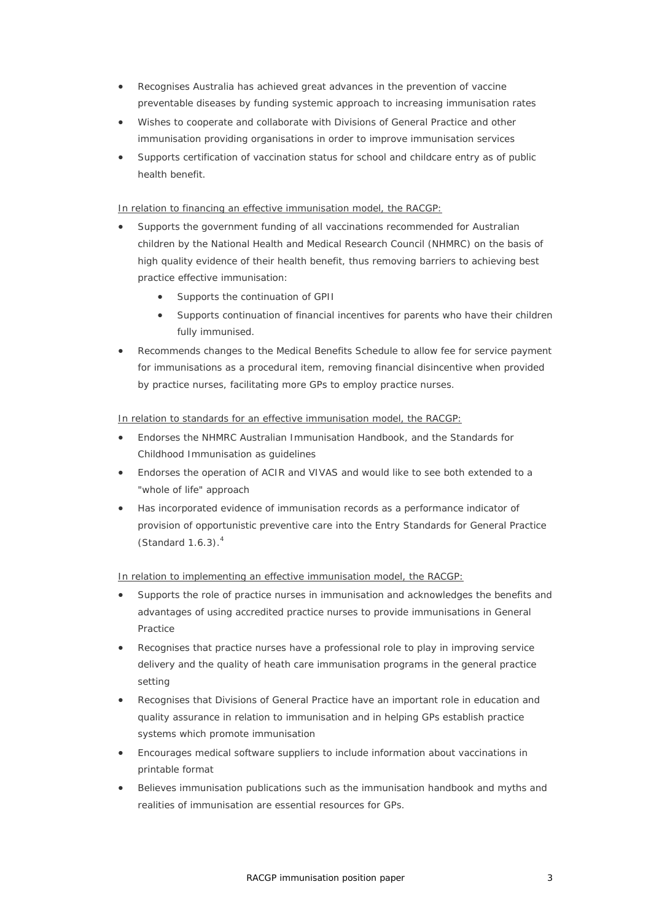- Recognises Australia has achieved great advances in the prevention of vaccine preventable diseases by funding systemic approach to increasing immunisation rates
- Wishes to cooperate and collaborate with Divisions of General Practice and other immunisation providing organisations in order to improve immunisation services
- Supports certification of vaccination status for school and childcare entry as of public health benefit.

# In relation to financing an effective immunisation model, the RACGP:

- Supports the government funding of all vaccinations recommended for Australian children by the National Health and Medical Research Council (NHMRC) on the basis of high quality evidence of their health benefit, thus removing barriers to achieving best practice effective immunisation:
	- Supports the continuation of GPII
	- Supports continuation of financial incentives for parents who have their children fully immunised.
- Recommends changes to the Medical Benefits Schedule to allow fee for service payment for immunisations as a procedural item, removing financial disincentive when provided by practice nurses, facilitating more GPs to employ practice nurses.

## In relation to standards for an effective immunisation model, the RACGP:

- Endorses the NHMRC Australian Immunisation Handbook, and the Standards for Childhood Immunisation as guidelines
- Endorses the operation of ACIR and VIVAS and would like to see both extended to a "whole of life" approach
- Has incorporated evidence of immunisation records as a performance indicator of provision of opportunistic preventive care into the Entry Standards for General Practice (Standard  $1.6.3$ ). $<sup>4</sup>$ </sup>

#### In relation to implementing an effective immunisation model, the RACGP:

- Supports the role of practice nurses in immunisation and acknowledges the benefits and advantages of using accredited practice nurses to provide immunisations in General Practice
- Recognises that practice nurses have a professional role to play in improving service delivery and the quality of heath care immunisation programs in the general practice setting
- Recognises that Divisions of General Practice have an important role in education and quality assurance in relation to immunisation and in helping GPs establish practice systems which promote immunisation
- Encourages medical software suppliers to include information about vaccinations in printable format
- Believes immunisation publications such as the immunisation handbook and myths and realities of immunisation are essential resources for GPs.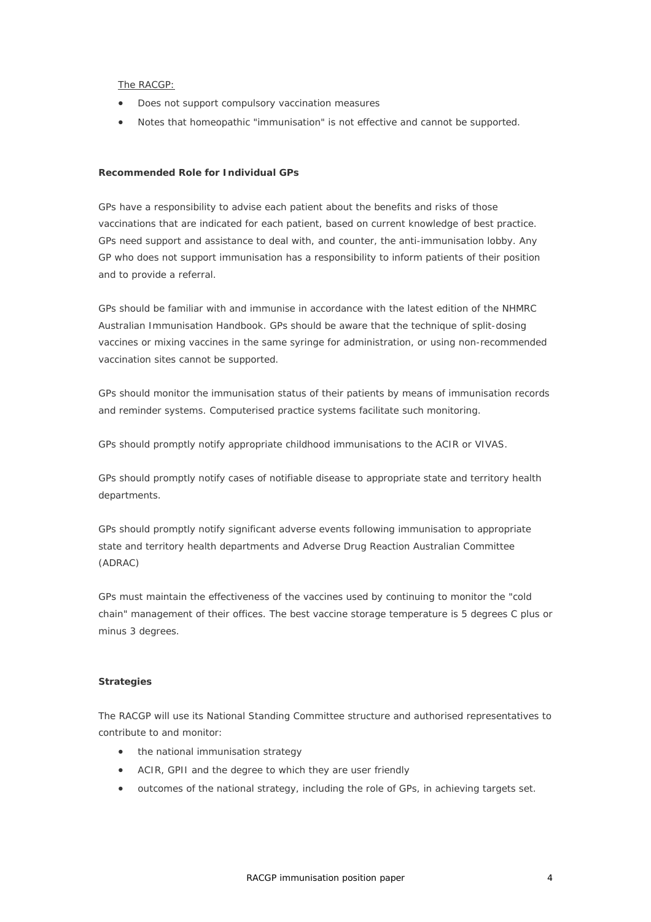#### The RACGP:

- Does not support compulsory vaccination measures
- Notes that homeopathic "immunisation" is not effective and cannot be supported.

# **Recommended Role for Individual GPs**

GPs have a responsibility to advise each patient about the benefits and risks of those vaccinations that are indicated for each patient, based on current knowledge of best practice. GPs need support and assistance to deal with, and counter, the anti-immunisation lobby. Any GP who does not support immunisation has a responsibility to inform patients of their position and to provide a referral.

GPs should be familiar with and immunise in accordance with the latest edition of the NHMRC Australian Immunisation Handbook. GPs should be aware that the technique of split-dosing vaccines or mixing vaccines in the same syringe for administration, or using non-recommended vaccination sites cannot be supported.

GPs should monitor the immunisation status of their patients by means of immunisation records and reminder systems. Computerised practice systems facilitate such monitoring.

GPs should promptly notify appropriate childhood immunisations to the ACIR or VIVAS.

GPs should promptly notify cases of notifiable disease to appropriate state and territory health departments.

GPs should promptly notify significant adverse events following immunisation to appropriate state and territory health departments and Adverse Drug Reaction Australian Committee (ADRAC)

GPs must maintain the effectiveness of the vaccines used by continuing to monitor the "cold chain" management of their offices. The best vaccine storage temperature is 5 degrees C plus or minus 3 degrees.

# **Strategies**

The RACGP will use its National Standing Committee structure and authorised representatives to contribute to and monitor:

- the national immunisation strategy
- ACIR, GPII and the degree to which they are user friendly
- outcomes of the national strategy, including the role of GPs, in achieving targets set.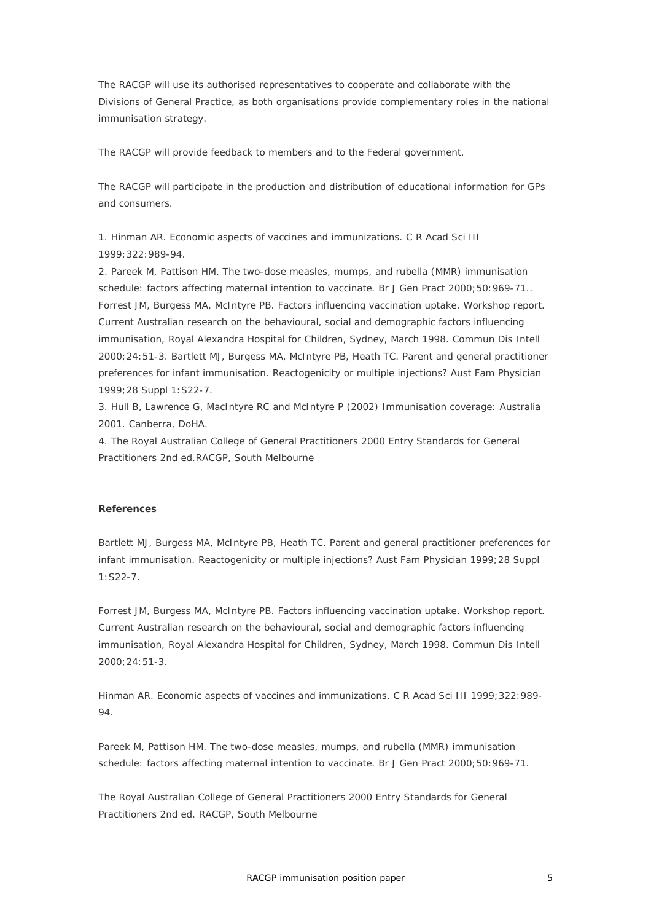The RACGP will use its authorised representatives to cooperate and collaborate with the Divisions of General Practice, as both organisations provide complementary roles in the national immunisation strategy.

The RACGP will provide feedback to members and to the Federal government.

The RACGP will participate in the production and distribution of educational information for GPs and consumers.

1. Hinman AR. Economic aspects of vaccines and immunizations. C R Acad Sci III 1999;322:989-94.

2. Pareek M, Pattison HM. The two-dose measles, mumps, and rubella (MMR) immunisation schedule: factors affecting maternal intention to vaccinate. Br J Gen Pract 2000; 50: 969-71.. Forrest JM, Burgess MA, McIntyre PB. Factors influencing vaccination uptake. Workshop report. Current Australian research on the behavioural, social and demographic factors influencing immunisation, Royal Alexandra Hospital for Children, Sydney, March 1998. Commun Dis Intell 2000;24:51-3. Bartlett MJ, Burgess MA, McIntyre PB, Heath TC. Parent and general practitioner preferences for infant immunisation. Reactogenicity or multiple injections? Aust Fam Physician 1999;28 Suppl 1:S22-7.

3. Hull B, Lawrence G, MacIntyre RC and McIntyre P (2002) Immunisation coverage: Australia 2001. Canberra, DoHA.

4. The Royal Australian College of General Practitioners 2000 Entry Standards for General Practitioners 2nd ed.RACGP, South Melbourne

#### **References**

Bartlett MJ, Burgess MA, McIntyre PB, Heath TC. Parent and general practitioner preferences for infant immunisation. Reactogenicity or multiple injections? Aust Fam Physician 1999;28 Suppl 1:S22-7.

Forrest JM, Burgess MA, McIntyre PB. Factors influencing vaccination uptake. Workshop report. Current Australian research on the behavioural, social and demographic factors influencing immunisation, Royal Alexandra Hospital for Children, Sydney, March 1998. Commun Dis Intell 2000;24:51-3.

Hinman AR. Economic aspects of vaccines and immunizations. C R Acad Sci III 1999;322:989- 94.

Pareek M, Pattison HM. The two-dose measles, mumps, and rubella (MMR) immunisation schedule: factors affecting maternal intention to vaccinate. Br J Gen Pract 2000;50:969-71.

The Royal Australian College of General Practitioners 2000 Entry Standards for General Practitioners 2nd ed. RACGP, South Melbourne